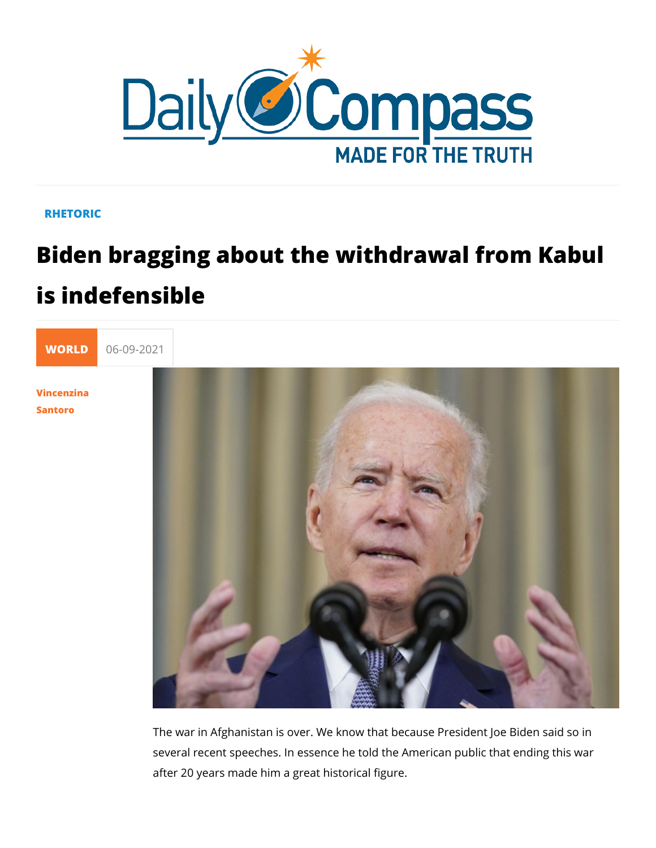## RHETORIC

## Biden bragging about the withdrawal fr is indefensible



[Vincenzi](/en/vincenzina-santoro)na [Santo](/en/vincenzina-santoro)ro

> The war in Afghanistan is over. We know that because Preside several recent speeches. In essence he told the American pub after 20 years made him a great historical figure.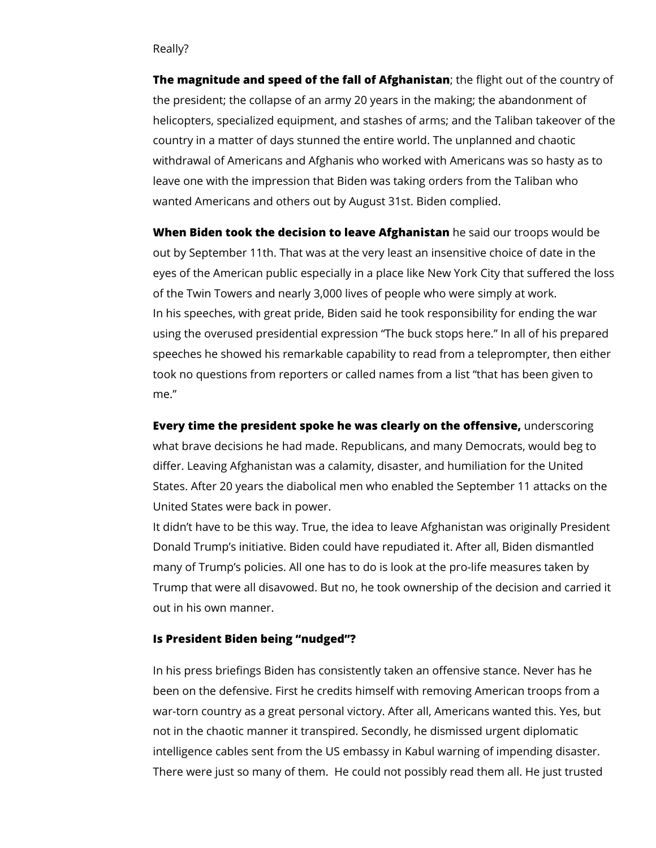## Really?

**The magnitude and speed of the fall of Afghanistan**; the flight out of the country of the president; the collapse of an army 20 years in the making; the abandonment of helicopters, specialized equipment, and stashes of arms; and the Taliban takeover of the country in a matter of days stunned the entire world. The unplanned and chaotic withdrawal of Americans and Afghanis who worked with Americans was so hasty as to leave one with the impression that Biden was taking orders from the Taliban who wanted Americans and others out by August 31st. Biden complied.

**When Biden took the decision to leave Afghanistan** he said our troops would be out by September 11th. That was at the very least an insensitive choice of date in the eyes of the American public especially in a place like New York City that suffered the loss of the Twin Towers and nearly 3,000 lives of people who were simply at work. In his speeches, with great pride, Biden said he took responsibility for ending the war using the overused presidential expression "The buck stops here." In all of his prepared speeches he showed his remarkable capability to read from a teleprompter, then either took no questions from reporters or called names from a list "that has been given to me."

**Every time the president spoke he was clearly on the offensive,** underscoring what brave decisions he had made. Republicans, and many Democrats, would beg to differ. Leaving Afghanistan was a calamity, disaster, and humiliation for the United States. After 20 years the diabolical men who enabled the September 11 attacks on the United States were back in power.

It didn't have to be this way. True, the idea to leave Afghanistan was originally President Donald Trump's initiative. Biden could have repudiated it. After all, Biden dismantled many of Trump's policies. All one has to do is look at the pro-life measures taken by Trump that were all disavowed. But no, he took ownership of the decision and carried it out in his own manner.

## **Is President Biden being "nudged"?**

In his press briefings Biden has consistently taken an offensive stance. Never has he been on the defensive. First he credits himself with removing American troops from a war-torn country as a great personal victory. After all, Americans wanted this. Yes, but not in the chaotic manner it transpired. Secondly, he dismissed urgent diplomatic intelligence cables sent from the US embassy in Kabul warning of impending disaster. There were just so many of them. He could not possibly read them all. He just trusted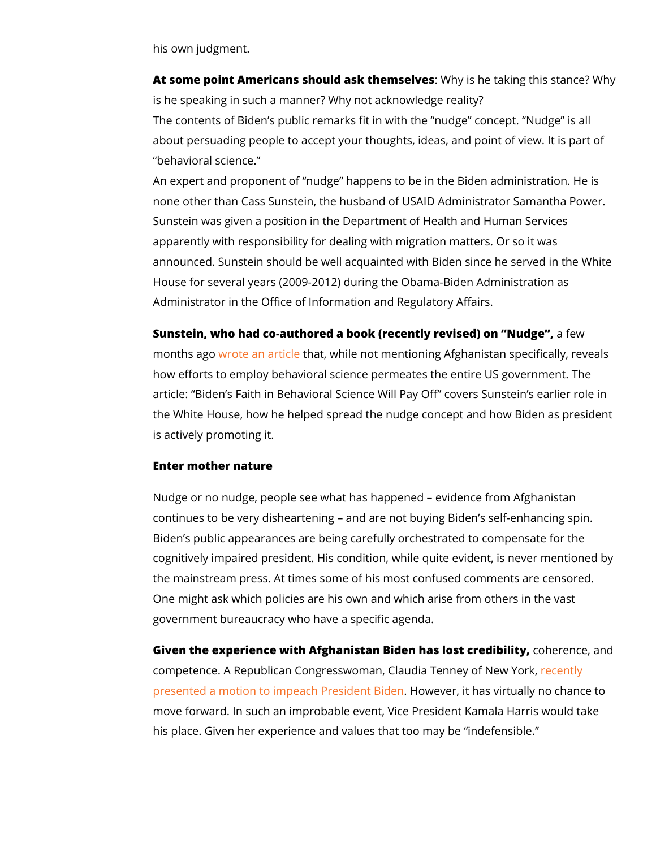his own judgment.

At some point Americans should ask they missell we staking this stan is he speaking in such a manner? Why not acknowledge reality The contents of Biden s public remarks fit in with the nudge about persuading people to accept your thoughts, ideas, and p behavioral science.

An expert and proponent of nudge happens to be in the Bider none other than Cass Sunstein, the husband of USAID Adminis Sunstein was given a position in the Department of Health and apparently with responsibility for dealing with migration matte announced. Sunstein should be well acquainted with Biden sin House for several years (2009-2012) during the Obama-Biden , Administrator in the Office of Information and Regulatory Affai

Sunstein, who had co-author(erde cae notdoy krevised) on Naufdegwe , months agroute an arthinate while not mentioning Afghanistan spec how efforts to employ behavioral science permeates the entire article: Biden s Faith in Behavioral Science Will Pay Off cov the White House, how he helped spread the nudge concept and is actively promoting it.

Enter mother nature

Nudge or no nudge, people see what has happened evidence continues to be very disheartening and are not buying Biden Biden s public appearances are being carefully orchestrated to cognitively impaired president. His condition, while quite evid the mainstream press. At times some of his most confused com One might ask which policies are his own and which arise from government bureaucracy who have a specific agenda.

Given the experience with Afghanistan Biden has ollo estenceed ibaint competence. A Republican Congresswoman, Claudenehehyney of [presented a motion to impeach](https://tenney.house.gov/media/press-releases/tenney-leads-house-colleagues-calling-speaker-pelosi-begin-impeachment) Precowdeevretr, Bitden as virtually no c move forward. In such an improbable event, Vice President Ka his place. Given her experience and values that too may be in